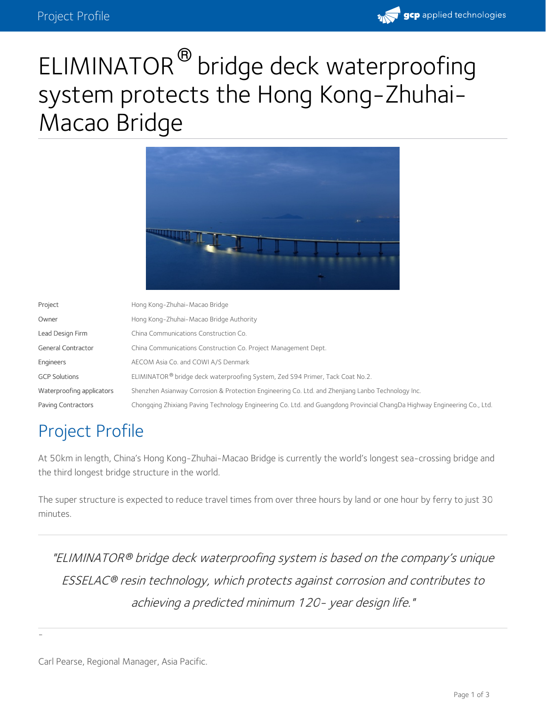

# ELIMINATOR<sup>®</sup> bridge deck waterproofing system protects the Hong Kong-Zhuhai- Macao Bridge



| Project                   | Hong Kong-Zhuhai-Macao Bridge                                                                                            |
|---------------------------|--------------------------------------------------------------------------------------------------------------------------|
| Owner                     | Hong Kong-Zhuhai-Macao Bridge Authority                                                                                  |
| Lead Design Firm          | China Communications Construction Co.                                                                                    |
| <b>General Contractor</b> | China Communications Construction Co. Project Management Dept.                                                           |
| Engineers                 | AECOM Asia Co. and COWI A/S Denmark                                                                                      |
| <b>GCP Solutions</b>      | ELIMINATOR <sup>®</sup> bridge deck waterproofing System, Zed S94 Primer, Tack Coat No.2.                                |
| Waterproofing applicators | Shenzhen Asianway Corrosion & Protection Engineering Co. Ltd. and Zhenjiang Lanbo Technology Inc.                        |
| Paving Contractors        | Chongging Zhixiang Paving Technology Engineering Co. Ltd. and Guangdong Provincial ChangDa Highway Engineering Co., Ltd. |

## Project Profile

At 50km in length, China's Hong Kong-Zhuhai-Macao Bridge is currently the world's longest sea-crossing bridge and the third longest bridge structure in the world.

The super structure is expected to reduce travel times from over three hours by land or one hour by ferry to just 30 minutes.

"ELIMINATOR bridge deck waterproofing system is based on the company's unique *®* ESSELAC resin technology, which protects against corrosion and contributes to *®* achieving <sup>a</sup> predicted minimum 120- year design life."

-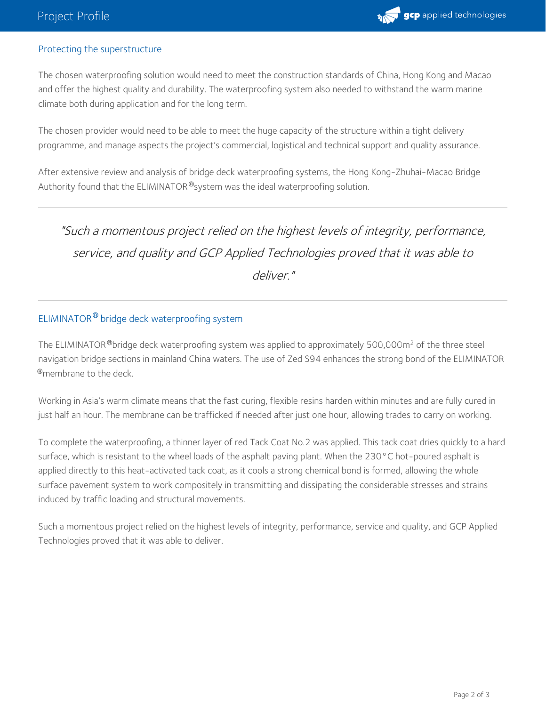

#### Protecting the superstructure

The chosen waterproofing solution would need to meet the construction standards of China, Hong Kong and Macao and offer the highest quality and durability. The waterproofing system also needed to withstand the warm marine climate both during application and for the long term.

The chosen provider would need to be able to meet the huge capacity of the structure within a tight delivery programme, and manage aspects the project's commercial, logistical and technical support and quality assurance.

After extensive review and analysis of bridge deck waterproofing systems, the Hong Kong-Zhuhai-Macao Bridge Authority found that the ELIMINATOR®system was the ideal waterproofing solution.

### "Such <sup>a</sup> momentous project relied on the highest levels of integrity, performance, service, and quality and GCP Applied Technologies proved that it was able to deliver."

### ELIMINATOR® bridge deck waterproofing system

The ELIMINATOR  $^{\circledR}$ bridge deck waterproofing system was applied to approximately 500,000m<sup>2</sup> of the three steel navigation bridge sections in mainland China waters. The use of Zed S94 enhances the strong bond of the ELIMINATOR  $^{\circledR}$ membrane to the deck.

Working in Asia's warm climate means that the fast curing, flexible resins harden within minutes and are fully cured in just half an hour. The membrane can be trafficked if needed after just one hour, allowing trades to carry on working.

To complete the waterproofing, a thinner layer of red Tack Coat No.2 was applied. This tack coat dries quickly to a hard surface, which is resistant to the wheel loads of the asphalt paving plant. When the 230°C hot-poured asphalt is applied directly to this heat-activated tack coat, as it cools a strong chemical bond is formed, allowing the whole surface pavement system to work compositely in transmitting and dissipating the considerable stresses and strains induced by traffic loading and structural movements.

Such a momentous project relied on the highest levels of integrity, performance, service and quality, and GCP Applied Technologies proved that it was able to deliver.